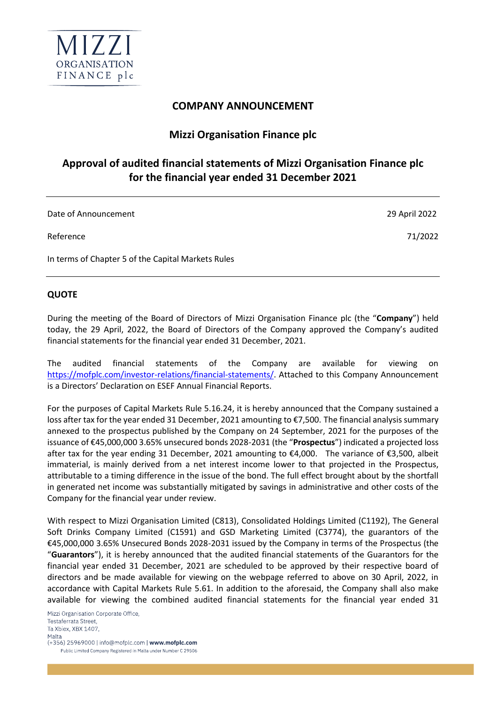

## **COMPANY ANNOUNCEMENT**

## **Mizzi Organisation Finance plc**

# **Approval of audited financial statements of Mizzi Organisation Finance plc for the financial year ended 31 December 2021**

Date of Announcement 29 April 2022

Reference 71/2022

In terms of Chapter 5 of the Capital Markets Rules

#### **QUOTE**

During the meeting of the Board of Directors of Mizzi Organisation Finance plc (the "**Company**") held today, the 29 April, 2022, the Board of Directors of the Company approved the Company's audited financial statements for the financial year ended 31 December, 2021.

The audited financial statements of the Company are available for viewing on [https://mofplc.com/investor-relations/financial-statements/.](https://mofplc.com/investor-relations/financial-statements/) Attached to this Company Announcement is a Directors' Declaration on ESEF Annual Financial Reports.

For the purposes of Capital Markets Rule 5.16.24, it is hereby announced that the Company sustained a loss after tax for the year ended 31 December, 2021 amounting to €7,500. The financial analysis summary annexed to the prospectus published by the Company on 24 September, 2021 for the purposes of the issuance of €45,000,000 3.65% unsecured bonds 2028-2031 (the "**Prospectus**") indicated a projected loss after tax for the year ending 31 December, 2021 amounting to €4,000. The variance of €3,500, albeit immaterial, is mainly derived from a net interest income lower to that projected in the Prospectus, attributable to a timing difference in the issue of the bond. The full effect brought about by the shortfall in generated net income was substantially mitigated by savings in administrative and other costs of the Company for the financial year under review.

With respect to Mizzi Organisation Limited (C813), Consolidated Holdings Limited (C1192), The General Soft Drinks Company Limited (C1591) and GSD Marketing Limited (C3774), the guarantors of the €45,000,000 3.65% Unsecured Bonds 2028-2031 issued by the Company in terms of the Prospectus (the "**Guarantors**"), it is hereby announced that the audited financial statements of the Guarantors for the financial year ended 31 December, 2021 are scheduled to be approved by their respective board of directors and be made available for viewing on the webpage referred to above on 30 April, 2022, in accordance with Capital Markets Rule 5.61. In addition to the aforesaid, the Company shall also make available for viewing the combined audited financial statements for the financial year ended 31

l,

Mizzi Organisation Corporate Office, Testaferrata Street. Ta Xbiex, XBX 1407, Malta (+356) 25969000 | info@mofplc.com | www.mofplc.com Public Limited Company Registered in Malta under Number C 29506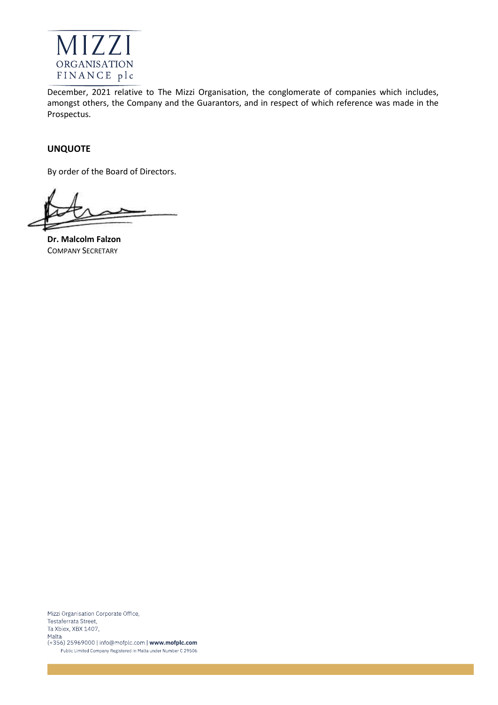

December, 2021 relative to The Mizzi Organisation, the conglomerate of companies which includes, amongst others, the Company and the Guarantors, and in respect of which reference was made in the Prospectus.

#### **UNQUOTE**

By order of the Board of Directors.

**Dr. Malcolm Falzon** COMPANY SECRETARY